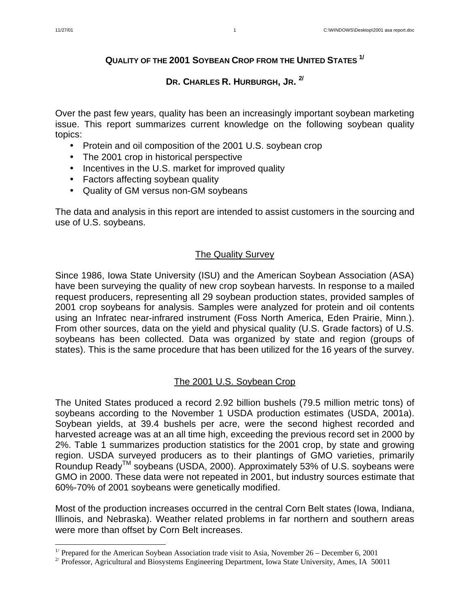$\overline{a}$ 

# **QUALITY OF THE 2001 SOYBEAN CROP FROM THE UNITED STATES 1/**

# **DR. CHARLES R. HURBURGH, JR. 2/**

Over the past few years, quality has been an increasingly important soybean marketing issue. This report summarizes current knowledge on the following soybean quality topics:

- Protein and oil composition of the 2001 U.S. soybean crop
- The 2001 crop in historical perspective
- Incentives in the U.S. market for improved quality
- Factors affecting soybean quality
- Quality of GM versus non-GM soybeans

The data and analysis in this report are intended to assist customers in the sourcing and use of U.S. soybeans.

# The Quality Survey

Since 1986, Iowa State University (ISU) and the American Soybean Association (ASA) have been surveying the quality of new crop soybean harvests. In response to a mailed request producers, representing all 29 soybean production states, provided samples of 2001 crop soybeans for analysis. Samples were analyzed for protein and oil contents using an Infratec near-infrared instrument (Foss North America, Eden Prairie, Minn.). From other sources, data on the yield and physical quality (U.S. Grade factors) of U.S. soybeans has been collected. Data was organized by state and region (groups of states). This is the same procedure that has been utilized for the 16 years of the survey.

# The 2001 U.S. Soybean Crop

The United States produced a record 2.92 billion bushels (79.5 million metric tons) of soybeans according to the November 1 USDA production estimates (USDA, 2001a). Soybean yields, at 39.4 bushels per acre, were the second highest recorded and harvested acreage was at an all time high, exceeding the previous record set in 2000 by 2%. Table 1 summarizes production statistics for the 2001 crop, by state and growing region. USDA surveyed producers as to their plantings of GMO varieties, primarily Roundup Ready<sup>™</sup> soybeans (USDA, 2000). Approximately 53% of U.S. soybeans were GMO in 2000. These data were not repeated in 2001, but industry sources estimate that 60%-70% of 2001 soybeans were genetically modified.

Most of the production increases occurred in the central Corn Belt states (Iowa, Indiana, Illinois, and Nebraska). Weather related problems in far northern and southern areas were more than offset by Corn Belt increases.

<sup>&</sup>lt;sup>1/</sup> Prepared for the American Soybean Association trade visit to Asia, November 26 – December 6, 2001

<sup>&</sup>lt;sup>2/</sup> Professor, Agricultural and Biosystems Engineering Department, Iowa State University, Ames, IA 50011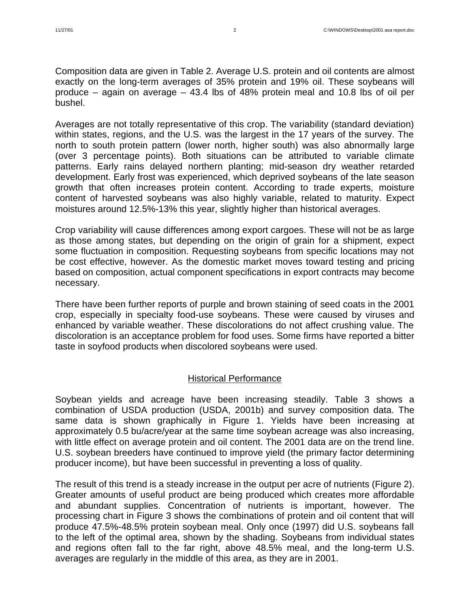Composition data are given in Table 2. Average U.S. protein and oil contents are almost exactly on the long-term averages of 35% protein and 19% oil. These soybeans will produce – again on average – 43.4 lbs of 48% protein meal and 10.8 lbs of oil per bushel.

Averages are not totally representative of this crop. The variability (standard deviation) within states, regions, and the U.S. was the largest in the 17 years of the survey. The north to south protein pattern (lower north, higher south) was also abnormally large (over 3 percentage points). Both situations can be attributed to variable climate patterns. Early rains delayed northern planting; mid-season dry weather retarded development. Early frost was experienced, which deprived soybeans of the late season growth that often increases protein content. According to trade experts, moisture content of harvested soybeans was also highly variable, related to maturity. Expect moistures around 12.5%-13% this year, slightly higher than historical averages.

Crop variability will cause differences among export cargoes. These will not be as large as those among states, but depending on the origin of grain for a shipment, expect some fluctuation in composition. Requesting soybeans from specific locations may not be cost effective, however. As the domestic market moves toward testing and pricing based on composition, actual component specifications in export contracts may become necessary.

There have been further reports of purple and brown staining of seed coats in the 2001 crop, especially in specialty food-use soybeans. These were caused by viruses and enhanced by variable weather. These discolorations do not affect crushing value. The discoloration is an acceptance problem for food uses. Some firms have reported a bitter taste in soyfood products when discolored soybeans were used.

# Historical Performance

Soybean yields and acreage have been increasing steadily. Table 3 shows a combination of USDA production (USDA, 2001b) and survey composition data. The same data is shown graphically in Figure 1. Yields have been increasing at approximately 0.5 bu/acre/year at the same time soybean acreage was also increasing, with little effect on average protein and oil content. The 2001 data are on the trend line. U.S. soybean breeders have continued to improve yield (the primary factor determining producer income), but have been successful in preventing a loss of quality.

The result of this trend is a steady increase in the output per acre of nutrients (Figure 2). Greater amounts of useful product are being produced which creates more affordable and abundant supplies. Concentration of nutrients is important, however. The processing chart in Figure 3 shows the combinations of protein and oil content that will produce 47.5%-48.5% protein soybean meal. Only once (1997) did U.S. soybeans fall to the left of the optimal area, shown by the shading. Soybeans from individual states and regions often fall to the far right, above 48.5% meal, and the long-term U.S. averages are regularly in the middle of this area, as they are in 2001.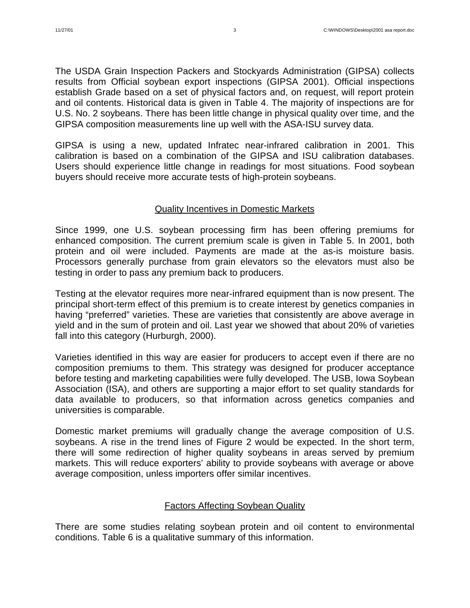The USDA Grain Inspection Packers and Stockyards Administration (GIPSA) collects results from Official soybean export inspections (GIPSA 2001). Official inspections establish Grade based on a set of physical factors and, on request, will report protein and oil contents. Historical data is given in Table 4. The majority of inspections are for U.S. No. 2 soybeans. There has been little change in physical quality over time, and the GIPSA composition measurements line up well with the ASA-ISU survey data.

GIPSA is using a new, updated Infratec near-infrared calibration in 2001. This calibration is based on a combination of the GIPSA and ISU calibration databases. Users should experience little change in readings for most situations. Food soybean buyers should receive more accurate tests of high-protein soybeans.

# Quality Incentives in Domestic Markets

Since 1999, one U.S. soybean processing firm has been offering premiums for enhanced composition. The current premium scale is given in Table 5. In 2001, both protein and oil were included. Payments are made at the as-is moisture basis. Processors generally purchase from grain elevators so the elevators must also be testing in order to pass any premium back to producers.

Testing at the elevator requires more near-infrared equipment than is now present. The principal short-term effect of this premium is to create interest by genetics companies in having "preferred" varieties. These are varieties that consistently are above average in yield and in the sum of protein and oil. Last year we showed that about 20% of varieties fall into this category (Hurburgh, 2000).

Varieties identified in this way are easier for producers to accept even if there are no composition premiums to them. This strategy was designed for producer acceptance before testing and marketing capabilities were fully developed. The USB, Iowa Soybean Association (ISA), and others are supporting a major effort to set quality standards for data available to producers, so that information across genetics companies and universities is comparable.

Domestic market premiums will gradually change the average composition of U.S. soybeans. A rise in the trend lines of Figure 2 would be expected. In the short term, there will some redirection of higher quality soybeans in areas served by premium markets. This will reduce exporters' ability to provide soybeans with average or above average composition, unless importers offer similar incentives.

# Factors Affecting Soybean Quality

There are some studies relating soybean protein and oil content to environmental conditions. Table 6 is a qualitative summary of this information.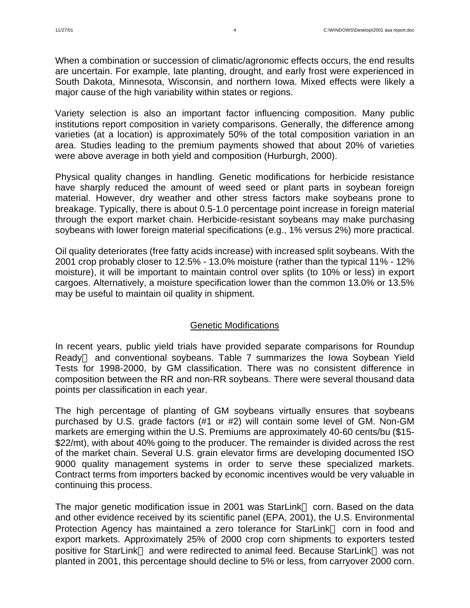When a combination or succession of climatic/agronomic effects occurs, the end results are uncertain. For example, late planting, drought, and early frost were experienced in South Dakota, Minnesota, Wisconsin, and northern Iowa. Mixed effects were likely a major cause of the high variability within states or regions.

Variety selection is also an important factor influencing composition. Many public institutions report composition in variety comparisons. Generally, the difference among varieties (at a location) is approximately 50% of the total composition variation in an area. Studies leading to the premium payments showed that about 20% of varieties were above average in both yield and composition (Hurburgh, 2000).

Physical quality changes in handling. Genetic modifications for herbicide resistance have sharply reduced the amount of weed seed or plant parts in soybean foreign material. However, dry weather and other stress factors make soybeans prone to breakage. Typically, there is about 0.5-1.0 percentage point increase in foreign material through the export market chain. Herbicide-resistant soybeans may make purchasing soybeans with lower foreign material specifications (e.g., 1% versus 2%) more practical.

Oil quality deteriorates (free fatty acids increase) with increased split soybeans. With the 2001 crop probably closer to 12.5% - 13.0% moisture (rather than the typical 11% - 12% moisture), it will be important to maintain control over splits (to 10% or less) in export cargoes. Alternatively, a moisture specification lower than the common 13.0% or 13.5% may be useful to maintain oil quality in shipment.

# Genetic Modifications

In recent years, public yield trials have provided separate comparisons for Roundup Ready<sup> $TM$ </sup> and conventional soybeans. Table 7 summarizes the Iowa Soybean Yield Tests for 1998-2000, by GM classification. There was no consistent difference in composition between the RR and non-RR soybeans. There were several thousand data points per classification in each year.

The high percentage of planting of GM soybeans virtually ensures that soybeans purchased by U.S. grade factors (#1 or #2) will contain some level of GM. Non-GM markets are emerging within the U.S. Premiums are approximately 40-60 cents/bu (\$15- \$22/mt), with about 40% going to the producer. The remainder is divided across the rest of the market chain. Several U.S. grain elevator firms are developing documented ISO 9000 quality management systems in order to serve these specialized markets. Contract terms from importers backed by economic incentives would be very valuable in continuing this process.

The major genetic modification issue in 2001 was StarLink<sup>TM</sup> corn. Based on the data and other evidence received by its scientific panel (EPA, 2001), the U.S. Environmental Protection Agency has maintained a zero tolerance for StarLink<sup>TM</sup> corn in food and export markets. Approximately 25% of 2000 crop corn shipments to exporters tested positive for StarLink™ and were redirected to animal feed. Because StarLink™ was not planted in 2001, this percentage should decline to 5% or less, from carryover 2000 corn.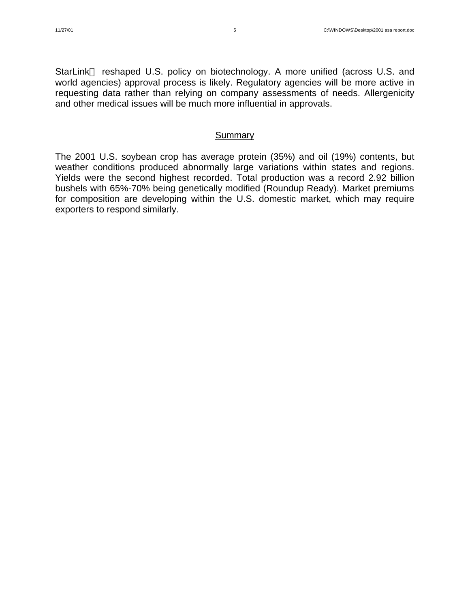StarLink<sup>TM</sup> reshaped U.S. policy on biotechnology. A more unified (across U.S. and world agencies) approval process is likely. Regulatory agencies will be more active in requesting data rather than relying on company assessments of needs. Allergenicity and other medical issues will be much more influential in approvals.

#### **Summary**

The 2001 U.S. soybean crop has average protein (35%) and oil (19%) contents, but weather conditions produced abnormally large variations within states and regions. Yields were the second highest recorded. Total production was a record 2.92 billion bushels with 65%-70% being genetically modified (Roundup Ready). Market premiums for composition are developing within the U.S. domestic market, which may require exporters to respond similarly.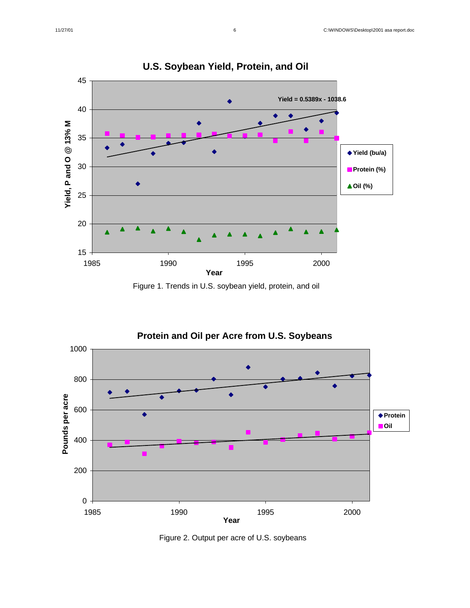

**U.S. Soybean Yield, Protein, and Oil**





Figure 2. Output per acre of U.S. soybeans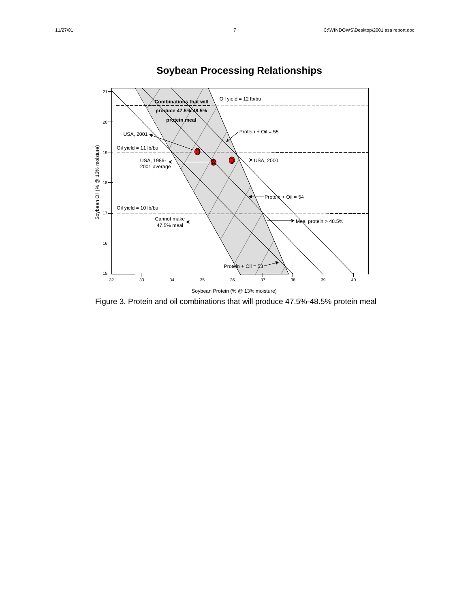

# **Soybean Processing Relationships**

Figure 3. Protein and oil combinations that will produce 47.5%-48.5% protein meal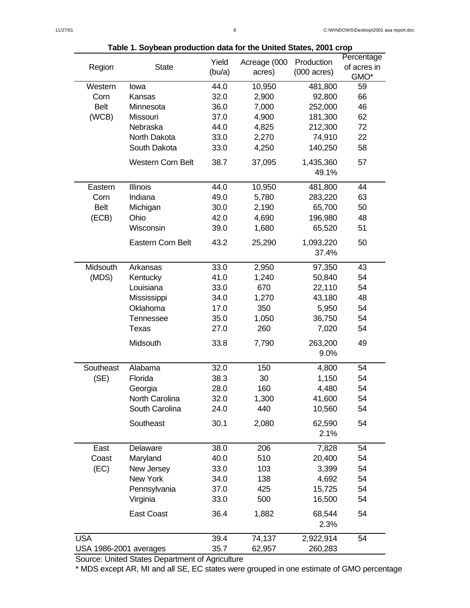| $\frac{1}{2}$ able 1. Juybean production data for the United Jiates, 2001 Grup |                          |        |              |                       |             |  |  |
|--------------------------------------------------------------------------------|--------------------------|--------|--------------|-----------------------|-------------|--|--|
|                                                                                |                          | Yield  | Acreage (000 | Production            | Percentage  |  |  |
| Region                                                                         | <b>State</b>             | (bu/a) | acres)       | $(000 \text{ acres})$ | of acres in |  |  |
|                                                                                |                          |        |              |                       | GMO*        |  |  |
| Western                                                                        | lowa                     | 44.0   | 10,950       | 481,800               | 59          |  |  |
| Corn                                                                           | Kansas                   | 32.0   | 2,900        | 92,800                | 66          |  |  |
| <b>Belt</b>                                                                    | Minnesota                | 36.0   | 7,000        | 252,000               | 46          |  |  |
| (WCB)                                                                          | Missouri                 | 37.0   | 4,900        | 181,300               | 62          |  |  |
|                                                                                | Nebraska                 | 44.0   | 4,825        | 212,300               | 72          |  |  |
|                                                                                | North Dakota             | 33.0   | 2,270        | 74,910                | 22          |  |  |
|                                                                                | South Dakota             | 33.0   | 4,250        | 140,250               | 58          |  |  |
|                                                                                |                          |        |              |                       |             |  |  |
|                                                                                | <b>Western Corn Belt</b> | 38.7   | 37,095       | 1,435,360             | 57          |  |  |
|                                                                                |                          |        |              | 49.1%                 |             |  |  |
| Eastern                                                                        | Illinois                 | 44.0   | 10,950       | 481,800               | 44          |  |  |
| Corn                                                                           | Indiana                  | 49.0   | 5,780        | 283,220               | 63          |  |  |
| <b>Belt</b>                                                                    |                          | 30.0   | 2,190        | 65,700                | 50          |  |  |
|                                                                                | Michigan                 |        |              |                       |             |  |  |
| (ECB)                                                                          | Ohio                     | 42.0   | 4,690        | 196,980               | 48          |  |  |
|                                                                                | Wisconsin                | 39.0   | 1,680        | 65,520                | 51          |  |  |
|                                                                                | Eastern Corn Belt        | 43.2   | 25,290       | 1,093,220             | 50          |  |  |
|                                                                                |                          |        |              | 37.4%                 |             |  |  |
|                                                                                |                          |        |              |                       |             |  |  |
| Midsouth                                                                       | Arkansas                 | 33.0   | 2,950        | 97,350                | 43          |  |  |
| (MDS)                                                                          | Kentucky                 | 41.0   | 1,240        | 50,840                | 54          |  |  |
|                                                                                | Louisiana                | 33.0   | 670          | 22,110                | 54          |  |  |
|                                                                                | Mississippi              | 34.0   | 1,270        | 43,180                | 48          |  |  |
|                                                                                | Oklahoma                 | 17.0   | 350          | 5,950                 | 54          |  |  |
|                                                                                | Tennessee                | 35.0   | 1,050        | 36,750                | 54          |  |  |
|                                                                                | Texas                    | 27.0   | 260          | 7,020                 | 54          |  |  |
|                                                                                |                          |        |              |                       |             |  |  |
|                                                                                | Midsouth                 | 33.8   | 7,790        | 263,200               | 49          |  |  |
|                                                                                |                          |        |              | 9.0%                  |             |  |  |
| Southeast                                                                      | Alabama                  | 32.0   | 150          | 4,800                 | 54          |  |  |
| (SE)                                                                           | Florida                  | 38.3   | 30           | 1,150                 | 54          |  |  |
|                                                                                | Georgia                  | 28.0   | 160          | 4,480                 | 54          |  |  |
|                                                                                | North Carolina           | 32.0   | 1,300        | 41,600                | 54          |  |  |
|                                                                                | South Carolina           | 24.0   | 440          | 10,560                | 54          |  |  |
|                                                                                |                          |        |              |                       |             |  |  |
|                                                                                | Southeast                | 30.1   | 2,080        | 62,590                | 54          |  |  |
|                                                                                |                          |        |              | 2.1%                  |             |  |  |
| East                                                                           | Delaware                 | 38.0   | 206          | 7,828                 | 54          |  |  |
| Coast                                                                          | Maryland                 | 40.0   | 510          | 20,400                | 54          |  |  |
| (EC)                                                                           | New Jersey               | 33.0   | 103          | 3,399                 | 54          |  |  |
|                                                                                | New York                 | 34.0   | 138          | 4,692                 | 54          |  |  |
|                                                                                |                          |        |              |                       |             |  |  |
|                                                                                | Pennsylvania             | 37.0   | 425          | 15,725                | 54          |  |  |
|                                                                                | Virginia                 | 33.0   | 500          | 16,500                | 54          |  |  |
|                                                                                | East Coast               | 36.4   | 1,882        | 68,544                | 54          |  |  |
|                                                                                |                          |        |              | 2.3%                  |             |  |  |
|                                                                                |                          |        |              |                       |             |  |  |
| <b>USA</b>                                                                     |                          | 39.4   | 74,137       | 2,922,914             | 54          |  |  |
| USA 1986-2001 averages                                                         |                          | 35.7   | 62,957       | 260,283               |             |  |  |

**Table 1. Soybean production data for the United States, 2001 crop**

Source: United States Department of Agriculture

\* MDS except AR, MI and all SE, EC states were grouped in one estimate of GMO percentage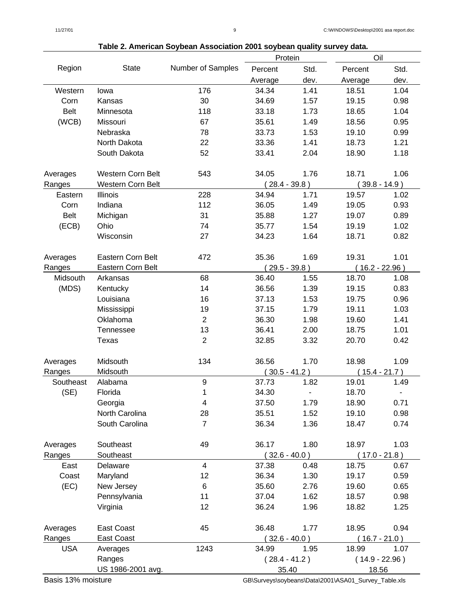|             |                          |                   | Protein         |      | Oil                              |                  |  |
|-------------|--------------------------|-------------------|-----------------|------|----------------------------------|------------------|--|
| Region      | State                    | Number of Samples | Percent         | Std. | Percent                          | Std.             |  |
|             |                          |                   | Average         | dev. | Average                          | dev.             |  |
| Western     | lowa                     | 176               | 34.34           | 1.41 | 18.51                            | 1.04             |  |
| Corn        | Kansas                   | 30                | 34.69           | 1.57 | 19.15                            | 0.98             |  |
| <b>Belt</b> | Minnesota                | 118               | 33.18           | 1.73 | 18.65                            | 1.04             |  |
| (WCB)       | Missouri                 | 67                | 35.61           | 1.49 | 18.56                            | 0.95             |  |
|             | Nebraska                 | 78                | 33.73           | 1.53 | 19.10                            | 0.99             |  |
|             | North Dakota             | 22                | 33.36           | 1.41 | 18.73                            | 1.21             |  |
|             | South Dakota             | 52                | 33.41           | 2.04 | 18.90                            | 1.18             |  |
|             |                          |                   |                 |      |                                  |                  |  |
| Averages    | <b>Western Corn Belt</b> | 543               | 34.05           | 1.76 | 18.71                            | 1.06             |  |
| Ranges      | <b>Western Corn Belt</b> |                   | $28.4 - 39.8$ ) |      |                                  | $39.8 - 14.9$ )  |  |
| Eastern     | <b>Illinois</b>          | 228               | 34.94           | 1.71 | 19.57                            | 1.02             |  |
| Corn        | Indiana                  | 112               | 36.05           | 1.49 | 19.05                            | 0.93             |  |
| <b>Belt</b> | Michigan                 | 31                | 35.88           | 1.27 | 19.07                            | 0.89             |  |
| (ECB)       | Ohio                     | 74                | 35.77           | 1.54 | 19.19                            | 1.02             |  |
|             | Wisconsin                | 27                | 34.23           | 1.64 | 18.71                            | 0.82             |  |
|             |                          |                   |                 |      |                                  |                  |  |
| Averages    | Eastern Corn Belt        | 472               | 35.36           | 1.69 | 19.31                            | 1.01             |  |
| Ranges      | Eastern Corn Belt        |                   | $(29.5 - 39.8)$ |      |                                  | $(16.2 - 22.96)$ |  |
| Midsouth    | Arkansas                 | 68                | 36.40           | 1.55 | 18.70                            | 1.08             |  |
| (MDS)       | Kentucky                 | 14                | 36.56           | 1.39 | 19.15                            | 0.83             |  |
|             | Louisiana                | 16                | 37.13           | 1.53 | 19.75                            | 0.96             |  |
|             | Mississippi              | 19                | 37.15           | 1.79 | 19.11                            | 1.03             |  |
|             | Oklahoma                 | $\overline{2}$    | 36.30           | 1.98 | 19.60                            | 1.41             |  |
|             | Tennessee                | 13                | 36.41           | 2.00 | 18.75                            | 1.01             |  |
|             | Texas                    | $\overline{2}$    | 32.85           | 3.32 | 20.70                            | 0.42             |  |
|             |                          |                   |                 |      |                                  |                  |  |
| Averages    | Midsouth                 | 134               | 36.56           | 1.70 | 18.98                            | 1.09             |  |
| Ranges      | Midsouth                 |                   | $(30.5 - 41.2)$ |      | $(15.4 - 21.7)$                  |                  |  |
| Southeast   | Alabama                  | 9                 | 37.73           | 1.82 | 19.01                            | 1.49             |  |
| (SE)        | Florida                  | 1                 | 34.30           |      | 18.70                            |                  |  |
|             | Georgia                  | 4                 | 37.50           | 1.79 | 18.90                            | 0.71             |  |
|             | North Carolina           | 28                | 35.51           | 1.52 | 19.10                            | 0.98             |  |
|             | South Carolina           | 7                 | 36.34           | 1.36 | 18.47                            | 0.74             |  |
|             |                          |                   |                 |      |                                  |                  |  |
| Averages    | Southeast                | 49                | 36.17           | 1.80 | 18.97                            | 1.03             |  |
| Ranges      | Southeast                |                   | $(32.6 - 40.0)$ |      | $(17.0 - 21.8)$                  |                  |  |
| East        | Delaware                 | 4                 | 37.38           | 0.48 | 18.75                            | 0.67             |  |
| Coast       | Maryland                 | 12                | 36.34           | 1.30 | 19.17                            | 0.59             |  |
| (EC)        | New Jersey               | 6                 | 35.60           | 2.76 | 19.60                            | 0.65             |  |
|             | Pennsylvania             | 11                | 37.04           | 1.62 | 18.57                            | 0.98             |  |
|             | Virginia                 | 12                | 36.24           | 1.96 | 18.82                            | 1.25             |  |
| Averages    | East Coast               | 45                | 36.48           | 1.77 | 18.95                            | 0.94             |  |
| Ranges      | East Coast               |                   | $(32.6 - 40.0)$ |      |                                  |                  |  |
| <b>USA</b>  | Averages                 | 1243              | 34.99           | 1.95 | $(16.7 - 21.0)$<br>18.99<br>1.07 |                  |  |
|             | Ranges                   |                   | $(28.4 - 41.2)$ |      |                                  |                  |  |
|             | US 1986-2001 avg.        |                   |                 |      | $(14.9 - 22.96)$                 |                  |  |
|             |                          |                   | 35.40           |      | 18.56                            |                  |  |

#### **Table 2. American Soybean Association 2001 soybean quality survey data.**

Basis 13% moisture GB\Surveys\soybeans\Data\2001\ASA01\_Survey\_Table.xls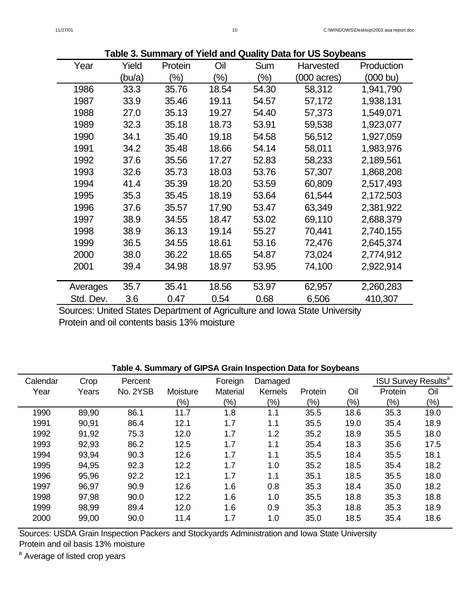|           | $\overline{\phantom{a}}$<br><b>Data TOI OU OUVNCAITS</b> |         |               |        |                       |            |
|-----------|----------------------------------------------------------|---------|---------------|--------|-----------------------|------------|
| Year      | Yield                                                    | Protein | Oil           | Sum    | Harvested             | Production |
|           | (bu/a)                                                   | $(\%)$  | $\frac{9}{6}$ | $(\%)$ | $(000 \text{ acres})$ | (000 bu)   |
| 1986      | 33.3                                                     | 35.76   | 18.54         | 54.30  | 58,312                | 1,941,790  |
| 1987      | 33.9                                                     | 35.46   | 19.11         | 54.57  | 57,172                | 1,938,131  |
| 1988      | 27.0                                                     | 35.13   | 19.27         | 54.40  | 57,373                | 1,549,071  |
| 1989      | 32.3                                                     | 35.18   | 18.73         | 53.91  | 59,538                | 1,923,077  |
| 1990      | 34.1                                                     | 35.40   | 19.18         | 54.58  | 56,512                | 1,927,059  |
| 1991      | 34.2                                                     | 35.48   | 18.66         | 54.14  | 58,011                | 1,983,976  |
| 1992      | 37.6                                                     | 35.56   | 17.27         | 52.83  | 58,233                | 2,189,561  |
| 1993      | 32.6                                                     | 35.73   | 18.03         | 53.76  | 57,307                | 1,868,208  |
| 1994      | 41.4                                                     | 35.39   | 18.20         | 53.59  | 60,809                | 2,517,493  |
| 1995      | 35.3                                                     | 35.45   | 18.19         | 53.64  | 61,544                | 2,172,503  |
| 1996      | 37.6                                                     | 35.57   | 17.90         | 53.47  | 63,349                | 2,381,922  |
| 1997      | 38.9                                                     | 34.55   | 18.47         | 53.02  | 69,110                | 2,688,379  |
| 1998      | 38.9                                                     | 36.13   | 19.14         | 55.27  | 70,441                | 2,740,155  |
| 1999      | 36.5                                                     | 34.55   | 18.61         | 53.16  | 72,476                | 2,645,374  |
| 2000      | 38.0                                                     | 36.22   | 18.65         | 54.87  | 73,024                | 2,774,912  |
| 2001      | 39.4                                                     | 34.98   | 18.97         | 53.95  | 74,100                | 2,922,914  |
|           |                                                          |         |               |        |                       |            |
| Averages  | 35.7                                                     | 35.41   | 18.56         | 53.97  | 62,957                | 2,260,283  |
| Std. Dev. | 3.6                                                      | 0.47    | 0.54          | 0.68   | 6,506                 | 410,307    |

**Table 3. Summary of Yield and Quality Data for US Soybeans**

Sources: United States Department of Agriculture and Iowa State University Protein and oil contents basis 13% moisture

### **Table 4. Summary of GIPSA Grain Inspection Data for Soybeans**

| Calendar | Crop  | Percent  |          | Foreign  | Damaged |         |        | <b>ISU Survey Results<sup>a</sup></b> |        |
|----------|-------|----------|----------|----------|---------|---------|--------|---------------------------------------|--------|
| Year     | Years | No. 2YSB | Moisture | Material | Kernels | Protein | Oil    | Protein                               | Oil    |
|          |       |          | $(\%)$   | $(\%)$   | $(\%)$  | $(\% )$ | $(\%)$ | $(\%)$                                | $(\%)$ |
| 1990     | 89,90 | 86.1     | 11.7     | 1.8      | 1.1     | 35.5    | 18.6   | 35.3                                  | 19.0   |
| 1991     | 90,91 | 86.4     | 12.1     | 1.7      | 1.1     | 35.5    | 19.0   | 35.4                                  | 18.9   |
| 1992     | 91,92 | 75.3     | 12.0     | 1.7      | 1.2     | 35.2    | 18.9   | 35.5                                  | 18.0   |
| 1993     | 92,93 | 86.2     | 12.5     | 1.7      | 1.1     | 35.4    | 18.3   | 35.6                                  | 17.5   |
| 1994     | 93,94 | 90.3     | 12.6     | 1.7      | 1.1     | 35.5    | 18.4   | 35.5                                  | 18.1   |
| 1995     | 94,95 | 92.3     | 12.2     | 1.7      | 1.0     | 35.2    | 18.5   | 35.4                                  | 18.2   |
| 1996     | 95,96 | 92.2     | 12.1     | 1.7      | 1.1     | 35.1    | 18.5   | 35.5                                  | 18.0   |
| 1997     | 96,97 | 90.9     | 12.6     | 1.6      | 0.8     | 35.3    | 18.4   | 35.0                                  | 18.2   |
| 1998     | 97,98 | 90.0     | 12.2     | 1.6      | 1.0     | 35.5    | 18.8   | 35.3                                  | 18.8   |
| 1999     | 98,99 | 89.4     | 12.0     | 1.6      | 0.9     | 35.3    | 18.8   | 35.3                                  | 18.9   |
| 2000     | 99,00 | 90.0     | 11.4     | 1.7      | 1.0     | 35.0    | 18.5   | 35.4                                  | 18.6   |

Sources: USDA Grain Inspection Packers and Stockyards Administration and Iowa State University

Protein and oil basis 13% moisture

<sup>a</sup> Average of listed crop years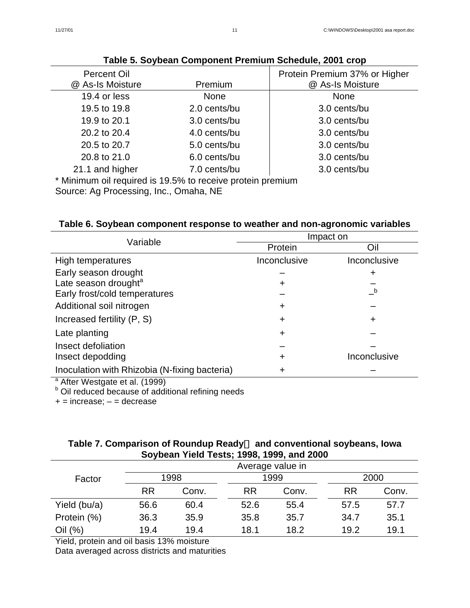| <b>Percent Oil</b><br>@ As-Is Moisture                               | Premium      | Protein Premium 37% or Higher<br>@ As-Is Moisture |
|----------------------------------------------------------------------|--------------|---------------------------------------------------|
| 19.4 or less                                                         | <b>None</b>  | <b>None</b>                                       |
| 19.5 to 19.8                                                         | 2.0 cents/bu | 3.0 cents/bu                                      |
| 19.9 to 20.1                                                         | 3.0 cents/bu | 3.0 cents/bu                                      |
| 20.2 to 20.4                                                         | 4.0 cents/bu | 3.0 cents/bu                                      |
| 20.5 to 20.7                                                         | 5.0 cents/bu | 3.0 cents/bu                                      |
| 20.8 to 21.0                                                         | 6.0 cents/bu | 3.0 cents/bu                                      |
| 21.1 and higher                                                      | 7.0 cents/bu | 3.0 cents/bu                                      |
| $*$ Minimum oil required in $40.50/10$ repeating protein proposition |              |                                                   |

### **Table 5. Soybean Component Premium Schedule, 2001 crop**

Minimum oil required is 19.5% to receive protein premium

Source: Ag Processing, Inc., Omaha, NE

## **Table 6. Soybean component response to weather and non-agronomic variables**

| Variable                                      | Impact on    |              |  |  |
|-----------------------------------------------|--------------|--------------|--|--|
|                                               | Protein      | Oil          |  |  |
| High temperatures                             | Inconclusive | Inconclusive |  |  |
| Early season drought                          |              | +            |  |  |
| Late season drought <sup>a</sup>              |              |              |  |  |
| Early frost/cold temperatures                 |              | b            |  |  |
| Additional soil nitrogen                      | ÷            |              |  |  |
| Increased fertility (P, S)                    | +            | +            |  |  |
| Late planting                                 |              |              |  |  |
| Insect defoliation                            |              |              |  |  |
| Insect depodding                              |              | Inconclusive |  |  |
| Inoculation with Rhizobia (N-fixing bacteria) |              |              |  |  |

<sup>a</sup> After Westgate et al. (1999)<br><sup>b</sup> Oil reduced because of additional refining needs

 $+=$  increase;  $-$  = decrease

### Table 7. Comparison of Roundup Ready<sup>™</sup> and conventional soybeans, Iowa **Soybean Yield Tests; 1998, 1999, and 2000**

|              |           | Average value in |           |       |           |       |  |  |  |
|--------------|-----------|------------------|-----------|-------|-----------|-------|--|--|--|
| Factor       | 1998      |                  |           | 1999  | 2000      |       |  |  |  |
|              | <b>RR</b> | Conv.            | <b>RR</b> | Conv. | <b>RR</b> | Conv. |  |  |  |
| Yield (bu/a) | 56.6      | 60.4             | 52.6      | 55.4  | 57.5      | 57.7  |  |  |  |
| Protein (%)  | 36.3      | 35.9             | 35.8      | 35.7  | 34.7      | 35.1  |  |  |  |
| Oil (%)      | 19.4      | 19.4             | 18.1      | 18.2  | 19.2      | 19.1  |  |  |  |

Yield, protein and oil basis 13% moisture

Data averaged across districts and maturities